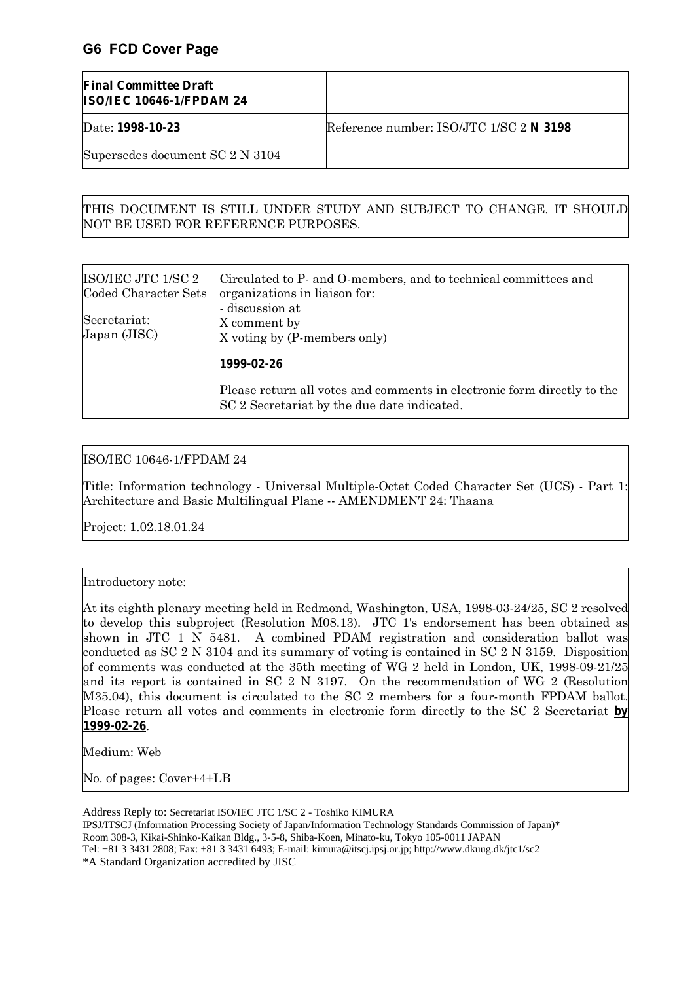## **G6 FCD Cover Page**

| <b>Final Committee Draft</b><br><b>ISO/IEC 10646-1/FPDAM 24</b> |                                         |
|-----------------------------------------------------------------|-----------------------------------------|
| Date: 1998-10-23                                                | Reference number: ISO/JTC 1/SC 2 N 3198 |
| Supersedes document SC 2 N 3104                                 |                                         |

### THIS DOCUMENT IS STILL UNDER STUDY AND SUBJECT TO CHANGE. IT SHOULD NOT BE USED FOR REFERENCE PURPOSES.

| ISO/IEC JTC 1/SC 2<br>Coded Character Sets | Circulated to P- and O-members, and to technical committees and<br>organizations in liaison for:                       |  |
|--------------------------------------------|------------------------------------------------------------------------------------------------------------------------|--|
| Secretariat:<br>Japan (JISC)               | - discussion at<br>X comment by<br>X voting by (P-members only)                                                        |  |
|                                            | 1999-02-26                                                                                                             |  |
|                                            | Please return all votes and comments in electronic form directly to the<br>SC 2 Secretariat by the due date indicated. |  |

#### ISO/IEC 10646-1/FPDAM 24

Title: Information technology - Universal Multiple-Octet Coded Character Set (UCS) - Part 1: Architecture and Basic Multilingual Plane -- AMENDMENT 24: Thaana

Project: 1.02.18.01.24

#### Introductory note:

At its eighth plenary meeting held in Redmond, Washington, USA, 1998-03-24/25, SC 2 resolved to develop this subproject (Resolution M08.13). JTC 1's endorsement has been obtained as shown in JTC 1 N 5481. A combined PDAM registration and consideration ballot was conducted as SC 2 N 3104 and its summary of voting is contained in SC 2 N 3159. Disposition of comments was conducted at the 35th meeting of WG 2 held in London, UK, 1998-09-21/25 and its report is contained in SC 2 N 3197. On the recommendation of WG 2 (Resolution M35.04), this document is circulated to the SC 2 members for a four-month FPDAM ballot. Please return all votes and comments in electronic form directly to the SC 2 Secretariat **by 1999-02-26**.

Medium: Web

No. of pages: Cover+4+LB

Address Reply to: Secretariat ISO/IEC JTC 1/SC 2 - Toshiko KIMURA IPSJ/ITSCJ (Information Processing Society of Japan/Information Technology Standards Commission of Japan)\* Room 308-3, Kikai-Shinko-Kaikan Bldg., 3-5-8, Shiba-Koen, Minato-ku, Tokyo 105-0011 JAPAN Tel: +81 3 3431 2808; Fax: +81 3 3431 6493; E-mail: kimura@itscj.ipsj.or.jp; http://www.dkuug.dk/jtc1/sc2 \*A Standard Organization accredited by JISC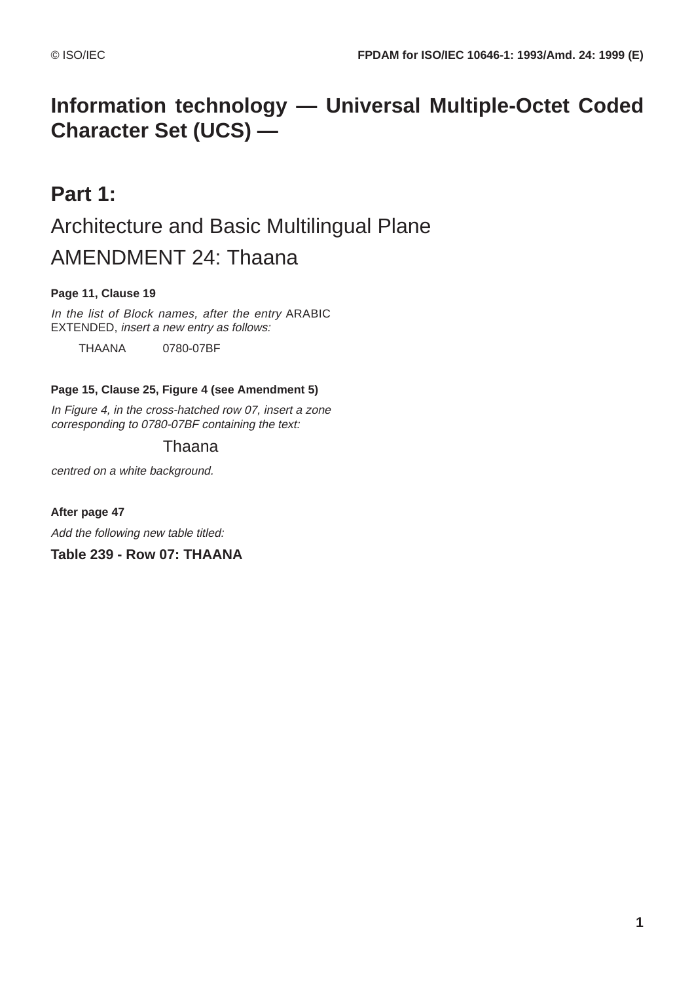## **Information technology — Universal Multiple-Octet Coded Character Set (UCS) —**

# **Part 1:** Architecture and Basic Multilingual Plane AMENDMENT 24: Thaana

## **Page 11, Clause 19**

In the list of Block names, after the entry ARABIC EXTENDED, insert a new entry as follows:

THAANA 0780-07BF

### **Page 15, Clause 25, Figure 4 (see Amendment 5)**

In Figure 4, in the cross-hatched row 07, insert a zone corresponding to 0780-07BF containing the text:

## Thaana

centred on a white background.

**After page 47**

Add the following new table titled:

**Table 239 - Row 07: THAANA**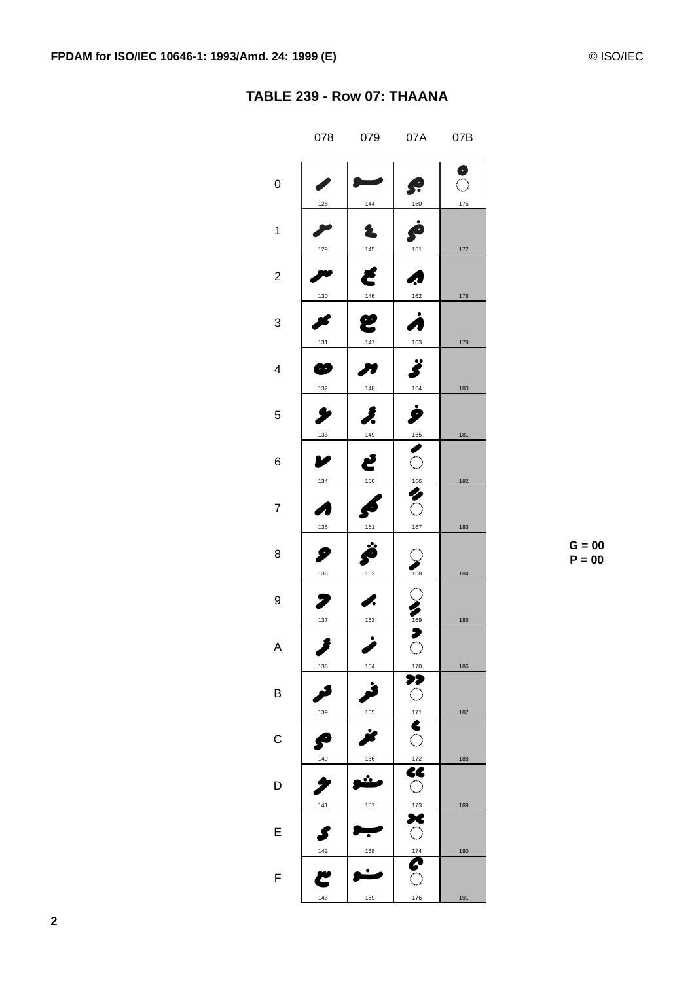| TABLE 239 - Row 07: THAANA |  |
|----------------------------|--|
|                            |  |

|                | 078                            | 079       | 07A                            | 07B      |
|----------------|--------------------------------|-----------|--------------------------------|----------|
| $\mathbf 0$    | 128                            | 144       | 160                            | ိ<br>176 |
| 1              | 129                            | 145       | 161                            | 177      |
| $\overline{c}$ | 130                            | E<br>146  | Ą,<br>162                      | 178      |
| 3              | 131                            | p<br>147  | À<br>163                       | 179      |
| 4              | 6<br>132                       | 148       | 164                            | 180      |
| 5              | 133                            | 149       | ģ<br>$\frac{165}{165}$         | 181      |
| 6              | 134                            | کع<br>150 | $\overline{\textbf{C}}$<br>166 | 182      |
| 7              | $\overline{\mathbf{A}}$<br>135 | 151       | $\bigcirc$<br>167              | 183      |
| 8              | F<br>136                       | 152       | 168                            | 184      |
| 9              | 137                            | I.<br>153 | $\sum_{169}$                   | 185      |
| A              |                                |           | $\bigcirc$                     |          |
| B              | 138                            | 154       | 170<br>⊁.<br>$\bigcirc$        | 186      |
| С              | 139                            | 155       | 171<br>$\bigcirc$              | 187      |
| D              | 140                            | 156<br>•. | $172$<br>K<br>$\bigcirc$       | 188      |
| Е              | 141                            | 157       | 173<br>Ł<br>$\bigcirc$         | 189      |
| F              | 142                            | 158       | 174                            | 190      |
|                | 143                            | 159       | 176                            | 191      |

 $G = 00$  $P = 00$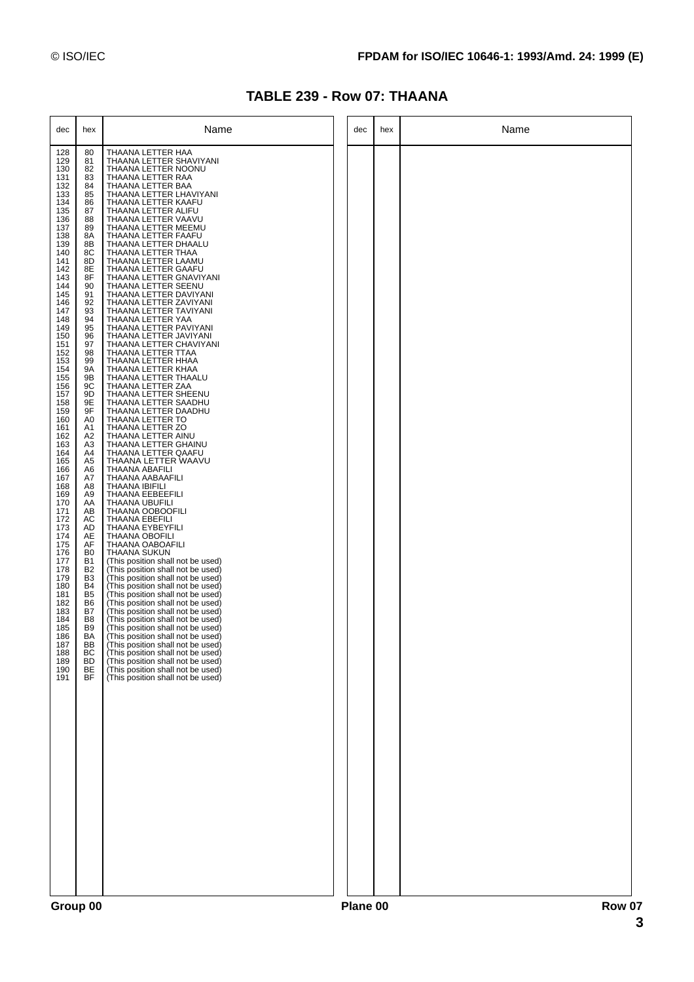| dec                                                                                                                                                                                                                                                                                                                                                                                                                                                          | hex                                                                                                                                                                                                                                                                                                                                                                                                                                                                                                                                                        | Name                                                                                                                                                                                                                                                                                                                                                                                                                                                                                                                                                                                                                                                                                                                                                                                                                                                                                                                                                                                                                                                                                                                                                                                                                                                                                                                                                                                                                                                                                                                                                                                                                                                                                                                                        | dec      | hex | Name          |
|--------------------------------------------------------------------------------------------------------------------------------------------------------------------------------------------------------------------------------------------------------------------------------------------------------------------------------------------------------------------------------------------------------------------------------------------------------------|------------------------------------------------------------------------------------------------------------------------------------------------------------------------------------------------------------------------------------------------------------------------------------------------------------------------------------------------------------------------------------------------------------------------------------------------------------------------------------------------------------------------------------------------------------|---------------------------------------------------------------------------------------------------------------------------------------------------------------------------------------------------------------------------------------------------------------------------------------------------------------------------------------------------------------------------------------------------------------------------------------------------------------------------------------------------------------------------------------------------------------------------------------------------------------------------------------------------------------------------------------------------------------------------------------------------------------------------------------------------------------------------------------------------------------------------------------------------------------------------------------------------------------------------------------------------------------------------------------------------------------------------------------------------------------------------------------------------------------------------------------------------------------------------------------------------------------------------------------------------------------------------------------------------------------------------------------------------------------------------------------------------------------------------------------------------------------------------------------------------------------------------------------------------------------------------------------------------------------------------------------------------------------------------------------------|----------|-----|---------------|
| 128<br>129<br>130<br>131<br>132<br>133<br>134<br>135<br>136<br>137<br>138<br>139<br>140<br>141<br>142<br>143<br>144<br>145<br>146<br>147<br>148<br>149<br>150<br>151<br>152<br>153<br>154<br>155<br>156<br>157<br>158<br>159<br>160<br>161<br>162<br>163<br>164<br>165<br>166<br>167<br>168<br>169<br>170<br>171<br>172<br>173<br>174<br>175<br>176<br>177<br>178<br>179<br>180<br>181<br>182<br>183<br>184<br>185<br>186<br>187<br>188<br>189<br>190<br>191 | 80<br>81<br>82<br>83<br>84<br>85<br>86<br>87<br>88<br>89<br>8A<br>8B<br>8C<br>8D<br>8E<br>8F<br>90<br>91<br>92<br>93<br>94<br>95<br>96<br>97<br>98<br>99<br>9A<br>9B<br>9C<br>9D<br>9E<br>9F<br>A <sub>0</sub><br>A1<br>A <sub>2</sub><br>A3<br>A4<br>A <sub>5</sub><br>A6<br>A7<br>A <sub>8</sub><br>A <sub>9</sub><br>AA<br>AB<br>AC<br>AD<br>AE<br>AF<br>B <sub>0</sub><br><b>B1</b><br>B <sub>2</sub><br>B <sub>3</sub><br>B <sub>4</sub><br>B <sub>5</sub><br>B <sub>6</sub><br>B7<br>B8<br>B <sub>9</sub><br>BA<br>BB<br>BC<br><b>BD</b><br>BE<br>BF | THAANA LETTER HAA<br>THAANA LETTER SHAVIYANI<br>THAANA LETTER NOONU<br>THAANA LETTER RAA<br>THAANA LETTER BAA<br>THAANA LETTER LHAVIYANI<br>THAANA LETTER KAAFU<br>THAANA LETTER ALIFU<br>THAANA LETTER VAAVU<br>THAANA LETTER MEEMU<br>THAANA LETTER FAAFU<br>THAANA LETTER DHAALU<br>THAANA LETTER THAA<br>THAANA LETTER LAAMU<br>THAANA LETTER GAAFU<br>THAANA LETTER GNAVIYANI<br>THAANA LETTER SEENU<br>THAANA LETTER DAVIYANI<br>THAANA LETTER ZAVIYANI<br>THAANA LETTER TAVIYANI<br>THAANA LETTER YAA<br>THAANA LETTER PAVIYANI<br>THAANA LETTER JAVIYANI<br>THAANA LETTER CHAVIYANI<br>THAANA LETTER TTAA<br>THAANA LETTER HHAA<br>THAANA LETTER KHAA<br>THAANA LETTER THAALU<br>THAANA LETTER ZAA<br>THAANA LETTER SHEENU<br>THAANA LETTER SAADHU<br>THAANA LETTER DAADHU<br>THAANA LETTER TO<br>THAANA LETTER ZO<br>THAANA LETTER AINU<br>THAANA LETTER GHAINU<br>THAANA LETTER QAAFU<br>THAANA LETTER WAAVU<br>THAANA ABAFILI<br>THAANA AABAAFILI<br>THAANA IBIFILI<br>THAANA EEBEEFILI<br>THAANA UBUFILI<br><b>THAANA OOBOOFILI</b><br><b>THAANA EBEFILI</b><br>THAANA EYBEYFILI<br><b>THAANA OBOFILI</b><br><b>THAANA OABOAFILI</b><br>THAANA SUKUN<br>(This position shall not be used)<br>(This position shall not be used)<br>(This position shall not be used)<br>(This position shall not be used)<br>(This position shall not be used)<br>(This position shall not be used)<br>(This position shall not be used)<br>(This position shall not be used)<br>(This position shall not be used)<br>(This position shall not be used)<br>(This position shall not be used)<br>(This position shall not be used)<br>(This position shall not be used)<br>(This position shall not be used)<br>(This position shall not be used) |          |     |               |
|                                                                                                                                                                                                                                                                                                                                                                                                                                                              | Group 00                                                                                                                                                                                                                                                                                                                                                                                                                                                                                                                                                   |                                                                                                                                                                                                                                                                                                                                                                                                                                                                                                                                                                                                                                                                                                                                                                                                                                                                                                                                                                                                                                                                                                                                                                                                                                                                                                                                                                                                                                                                                                                                                                                                                                                                                                                                             | Plane 00 |     | <b>Row 07</b> |

## **TABLE 239 - Row 07: THAANA**